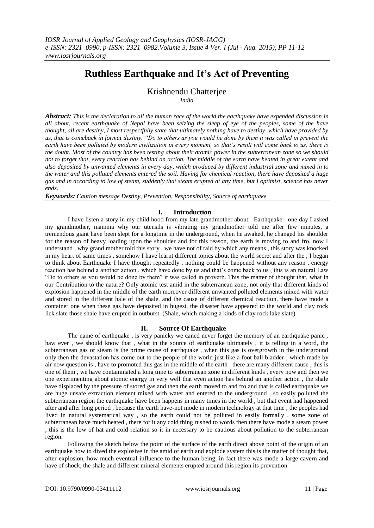## **Ruthless Earthquake and It's Act of Preventing**

Krishnendu Chatterjee

*India*

*Abstract: This is the declaration to all the human race of the world the earthquake have expended discussion in all about, recent earthquake of Nepal have been seizing the sleep of eye of the peoples, some of the have thought, all are destiny, I most respectfully state that ultimately nothing have to destiny, which have provided by us, that is comeback in format destiny. "Do to others as you would be done by them it was called in prevent the earth have been polluted by modern civilization in every moment, so that's result will come back to us, there is the doubt. Most of the country has been testing about their atomic power in the subterranean zone so we should not to forget that, every reaction has behind an action. The middle of the earth have heated in great extent and also deposited by unwanted elements in every day, which produced by different industrial zone and mixed in to the water and this polluted elements entered the soil. Having for chemical reaction, there have deposited a huge gas and in according to low of steam, suddenly that steam erupted at any time, but I optimist, science has never ends.*

*Keywords: Caution message Destiny, Prevention, Responsibility, Source of earthquake*

## **I. Introduction**

I have listen a story in my child hood from my late grandmother about Earthquake one day I asked my grandmother, mamma why our utensils is vibrating my grandmother told me after few minutes, a tremendous giant have been slept for a longtime in the underground, when he awaked, he changed his shoulder for the reason of heavy loading upon the shoulder and for this reason, the earth is moving to and fro. now I understand , why grand mother told this story , we have not of raid by which any means , this story was knocked in my heart of same times , somehow I have learnt different topics about the world secret and after the , I began to think about Earthquake I have thought repeatedly , nothing could be happened without any reason , energy reaction has behind a another action , which have done by us and that's come back to us , this is an natural Law "Do to others as you would be done by them" it was called in proverb. This the matter of thought that, what in our Contribution to the nature? Only atomic test amid in the subterranean zone, not only that different kinds of explosion happened in the middle of the earth moreover different unwanted polluted elements mixed with water and stored in the different hale of the shale, and the cause of different chemical reaction, there have mode a container one when these gas have deposited in hugest, the disaster have appeared to the world and clay rock lick slate those shale have erupted in outburst. (Shale, which making a kinds of clay rock lake slate)

## **II. Source Of Earthquake**

The name of earthquake , is very panicky we caned never forget the memory of an earthquake panic , haw ever , we should know that , what in the source of earthquake ultimately , it is telling in a word, the subterranean gas or steam is the prime cause of earthquake , when this gas is overgrowth in the underground only then the devastation has come out to the people of the world just like a foot ball bladder , which made by air now question is , have to promoted this gas in the middle of the earth . there are many different cause , this is one of them , we have contaminated a long time to subterranean zone in different kinds , every now and then we one experimenting about atomic energy in very well that even action has behind an another action , the shale have displaced by the pressure of stored gas and then the earth moved to and fro and that is called earthquake we are huge unsafe extraction element mixed with water and entered to the underground , so easily polluted the subterranean region the earthquake have been happens in many times in the world , but that event had happened after and after long period , because the earth have-not mode in modern technology at that time , the peoples had lived in natural systematical way , so the earth could not be polluted in easily formally , some zone of subterranean have much heated , there for it any cold thing rushed to words then there have mode a steam power , this is the low of hat and cold relation so it in necessary to be cautious about pollution to the subterranean region.

Following the sketch below the point of the surface of the earth direct above point of the origin of an earthquake how to dived the explosive in the amid of earth and explode system this is the matter of thought that, after explosion, how much eventual influence to the human being, in fact there was mode a large cavern and have of shock, the shale and different mineral elements erupted around this region its prevention.